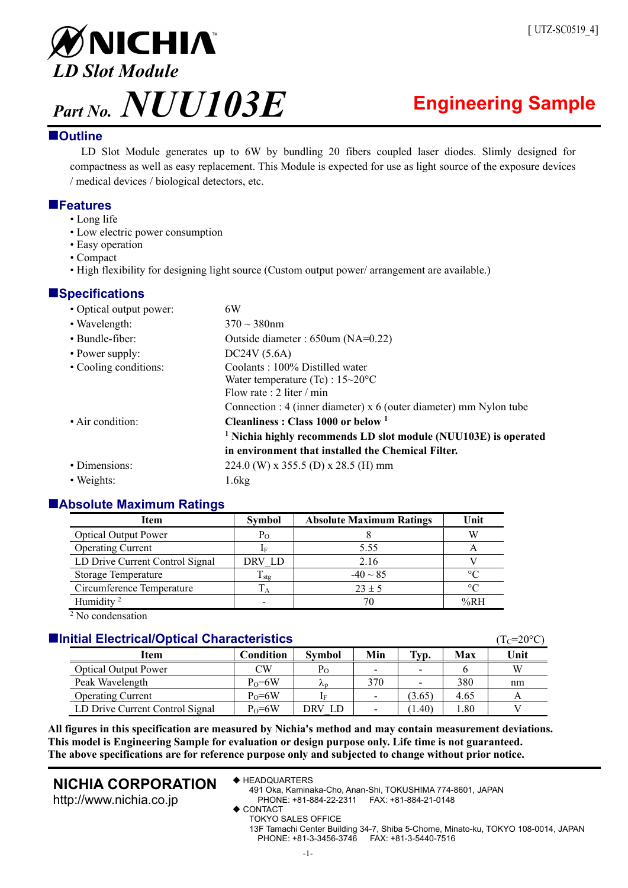

# **Outline**

LD Slot Module generates up to 6W by bundling 20 fibers coupled laser diodes. Slimly designed for compactness as well as easy replacement. This Module is expected for use as light source of the exposure devices / medical devices / biological detectors, etc.

# **Features**

- Long life
- Low electric power consumption
- Easy operation
- Compact
- High flexibility for designing light source (Custom output power/ arrangement are available.)

# **Specifications**

| 6W                                                                         |  |  |  |  |  |
|----------------------------------------------------------------------------|--|--|--|--|--|
| $370 \sim 380$ nm                                                          |  |  |  |  |  |
| Outside diameter : $650$ um (NA=0.22)                                      |  |  |  |  |  |
| DC24V (5.6A)                                                               |  |  |  |  |  |
| Coolants: 100% Distilled water                                             |  |  |  |  |  |
| Water temperature (Tc) : $15\text{~}20\text{°}C$                           |  |  |  |  |  |
| Flow rate : 2 liter / min                                                  |  |  |  |  |  |
| Connection : 4 (inner diameter) $x$ 6 (outer diameter) mm Nylon tube       |  |  |  |  |  |
| Cleanliness: Class $1000$ or below $1$                                     |  |  |  |  |  |
| <sup>1</sup> Nichia highly recommends LD slot module (NUU103E) is operated |  |  |  |  |  |
| in environment that installed the Chemical Filter.                         |  |  |  |  |  |
| 224.0 (W) x 355.5 (D) x 28.5 (H) mm                                        |  |  |  |  |  |
| 1.6kg                                                                      |  |  |  |  |  |
|                                                                            |  |  |  |  |  |

# **Absolute Maximum Ratings**

| <b>Item</b>                     | <b>Symbol</b>     | <b>Absolute Maximum Ratings</b> |             |
|---------------------------------|-------------------|---------------------------------|-------------|
| <b>Optical Output Power</b>     | $P_{O}$           |                                 | W           |
| <b>Operating Current</b>        | If                | 5.55                            |             |
| LD Drive Current Control Signal | DRV LD            | 2.16                            |             |
| Storage Temperature             | $\rm T_{\rm stg}$ | $-40 \sim 85$                   | $^{\circ}C$ |
| Circumference Temperature       | $\Gamma_{\rm A}$  | $23 \pm 5$                      | $\circ$ C   |
| Humidity <sup>2</sup>           |                   | 70                              | %RH         |
| $2$ No condensation             |                   |                                 |             |

 $\sqrt[2]{\text{No condensation}}$ 

# **Initial Electrical/Optical Characteristics** *Internal Characteristics CGC**C***<sub>C</sub>=20°C)**

| Item                            | Condition  | <b>Symbol</b> | Min | Typ.   | Max  | Unit |
|---------------------------------|------------|---------------|-----|--------|------|------|
| <b>Optical Output Power</b>     | CW         | Po            |     |        |      | W    |
| Peak Wavelength                 | $P_0 = 6W$ | Λn            | 370 |        | 380  | nm   |
| <b>Operating Current</b>        | $P_0 = 6W$ | ĪЕ            |     | (3.65) | 4.65 |      |
| LD Drive Current Control Signal | $P_0 = 6W$ | DRV LD        |     | (1.40) | 1.80 |      |

**All figures in this specification are measured by Nichia's method and may contain measurement deviations. This model is Engineering Sample for evaluation or design purpose only. Life time is not guaranteed. The above specifications are for reference purpose only and subjected to change without prior notice.** 

# **NICHIA CORPORATION**

http://www.nichia.co.jp

◆ HEADQUARTERS

491 Oka, Kaminaka-Cho, Anan-Shi, TOKUSHIMA 774-8601, JAPAN PHONE: +81-884-22-2311 FAX: +81-884-21-0148

◆ CONTACT

TOKYO SALES OFFICE

13F Tamachi Center Building 34-7, Shiba 5-Chome, Minato-ku, TOKYO 108-0014, JAPAN PHONE: +81-3-3456-3746 FAX: +81-3-5440-7516